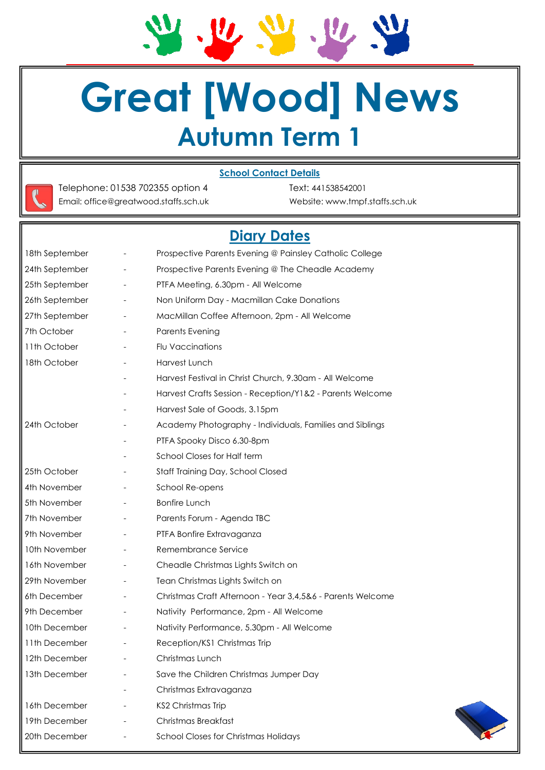24.26.29.20.20 **Great [Wood] News**

# **Autumn Term 1**





Telephone: 01538 702355 option 4 Text: 441538542001 Email: office@greatwood.staffs.sch.uk Website: www.tmpf.staffs.sch.uk

# **Diary Dates**

| 18th September |                          | Prospective Parents Evening @ Painsley Catholic College    |  |
|----------------|--------------------------|------------------------------------------------------------|--|
| 24th September |                          | Prospective Parents Evening @ The Cheadle Academy          |  |
| 25th September | $\overline{\phantom{a}}$ | PTFA Meeting, 6.30pm - All Welcome                         |  |
| 26th September |                          | Non Uniform Day - Macmillan Cake Donations                 |  |
| 27th September |                          | MacMillan Coffee Afternoon, 2pm - All Welcome              |  |
| 7th October    |                          | Parents Evening                                            |  |
| 11th October   |                          | Flu Vaccinations                                           |  |
| 18th October   |                          | Harvest Lunch                                              |  |
|                |                          | Harvest Festival in Christ Church, 9.30am - All Welcome    |  |
|                |                          | Harvest Crafts Session - Reception/Y1&2 - Parents Welcome  |  |
|                |                          | Harvest Sale of Goods, 3.15pm                              |  |
| 24th October   |                          | Academy Photography - Individuals, Families and Siblings   |  |
|                |                          | PTFA Spooky Disco 6.30-8pm                                 |  |
|                |                          | School Closes for Half term                                |  |
| 25th October   |                          | Staff Training Day, School Closed                          |  |
| 4th November   |                          | School Re-opens                                            |  |
| 5th November   |                          | <b>Bonfire Lunch</b>                                       |  |
| 7th November   |                          | Parents Forum - Agenda TBC                                 |  |
| 9th November   |                          | PTFA Bonfire Extravaganza                                  |  |
| 10th November  |                          | Remembrance Service                                        |  |
| 16th November  | $\overline{\phantom{a}}$ | Cheadle Christmas Lights Switch on                         |  |
| 29th November  | $\overline{\phantom{a}}$ | Tean Christmas Lights Switch on                            |  |
| 6th December   |                          | Christmas Craft Afternoon - Year 3,4,5&6 - Parents Welcome |  |
| 9th December   |                          | Nativity Performance, 2pm - All Welcome                    |  |
| 10th December  |                          | Nativity Performance, 5.30pm - All Welcome                 |  |
| 11th December  |                          | Reception/KS1 Christmas Trip                               |  |
| 12th December  |                          | Christmas Lunch                                            |  |
| 13th December  |                          | Save the Children Christmas Jumper Day                     |  |
|                |                          | Christmas Extravaganza                                     |  |
| 16th December  |                          | KS2 Christmas Trip                                         |  |
| 19th December  |                          | Christmas Breakfast                                        |  |
| 20th December  |                          | <b>School Closes for Christmas Holidays</b>                |  |
|                |                          |                                                            |  |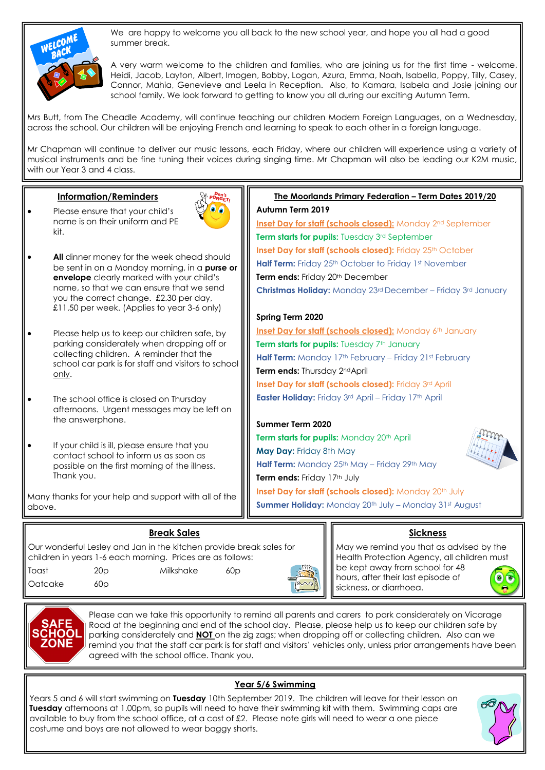

We are happy to welcome you all back to the new school year, and hope you all had a good summer break.

A very warm welcome to the children and families, who are joining us for the first time - welcome, Heidi, Jacob, Layton, Albert, Imogen, Bobby, Logan, Azura, Emma, Noah, Isabella, Poppy, Tilly, Casey, Connor, Mahia, Genevieve and Leela in Reception. Also, to Kamara, Isabela and Josie joining our school family. We look forward to getting to know you all during our exciting Autumn Term.

Mrs Butt, from The Cheadle Academy, will continue teaching our children Modern Foreign Languages, on a Wednesday, across the school. Our children will be enjoying French and learning to speak to each other in a foreign language.

Mr Chapman will continue to deliver our music lessons, each Friday, where our children will experience using a variety of musical instruments and be fine tuning their voices during singing time. Mr Chapman will also be leading our K2M music, with our Year 3 and 4 class.

#### **Information/Reminders**

 Please ensure that your child's name is on their uniform and PE kit.



- **All** dinner money for the week ahead should be sent in on a Monday morning, in a **purse or envelope** clearly marked with your child's name, so that we can ensure that we send you the correct change. £2.30 per day, £11.50 per week. (Applies to year 3-6 only)
- Please help us to keep our children safe, by parking considerately when dropping off or collecting children. A reminder that the school car park is for staff and visitors to school only.
- The school office is closed on Thursday afternoons. Urgent messages may be left on the answerphone.
- If your child is ill, please ensure that you contact school to inform us as soon as possible on the first morning of the illness. Thank you.

Many thanks for your help and support with all of the above.

# **Break Sales**

Our wonderful Lesley and Jan in the kitchen provide break sales for children in years 1-6 each morning. Prices are as follows: Toast 20p Milkshake 60p



Oatcake 60p

Please can we take this opportunity to remind all parents and carers to park considerately on Vicarage Road at the beginning and end of the school day. Please, please help us to keep our children safe by parking considerately and **NOT** on the zig zags; when dropping off or collecting children. Also can we remind you that the staff car park is for staff and visitors' vehicles only, unless prior arrangements have been agreed with the school office. Thank you.

# **Year 5/6 Swimming**

Years 5 and 6 will start swimming on **Tuesday** 10th September 2019. The children will leave for their lesson on **Tuesday** afternoons at 1.00pm, so pupils will need to have their swimming kit with them. Swimming caps are available to buy from the school office, at a cost of £2. Please note girls will need to wear a one piece costume and boys are not allowed to wear baggy shorts.

# **Inset Day for staff (schools closed):** Friday 25th October

**The Moorlands Primary Federation – Term Dates 2019/20**

**Inset Day for staff (schools closed):** Monday 2<sup>nd</sup> September

Half Term: Friday 25<sup>th</sup> October to Friday 1st November

**Term ends: Friday 20th December Christmas Holiday:** Monday 23rd December – Friday 3rd January

**Term starts for pupils:** Tuesday 3rd September

#### **Spring Term 2020**

**Autumn Term 2019**

**Inset Day for staff (schools closed):** Monday 6th January **Term starts for pupils:** Tuesday 7<sup>th</sup> January **Half Term:** Monday 17th February – Friday 21st February **Term ends:** Thursday 2ndApril **Inset Day for staff (schools closed):** Friday 3rd April **Easter Holiday:** Friday 3rd April – Friday 17th April

#### **Summer Term 2020**

**Term starts for pupils: Monday 20th April May Day:** Friday 8th May **Half Term:** Monday 25<sup>th</sup> May – Friday 29<sup>th</sup> May **Term ends: Friday 17th July Inset Day for staff (schools closed):** Monday 20<sup>th</sup> July

**Summer Holiday:** Monday 20<sup>th</sup> July – Monday 31st August



# **Sickness**

May we remind you that as advised by the Health Protection Agency, all children must be kept away from school for 48 hours, after their last episode of  $\bullet$ sickness, or diarrhoea.

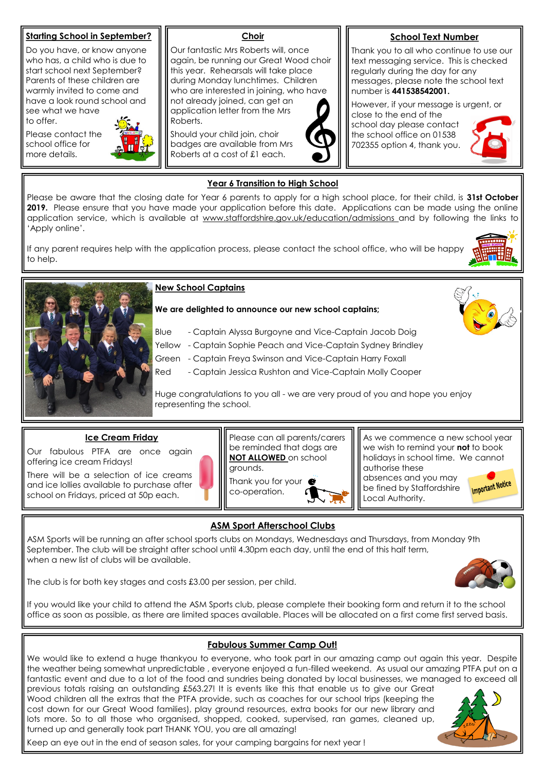#### **Starting School in September?**

Do you have, or know anyone who has, a child who is due to start school next September? Parents of these children are warmly invited to come and have a look round school and see what we have to offer.

Please contact the school office for more details.



#### **Choir**

Our fantastic Mrs Roberts will, once again, be running our Great Wood choir this year. Rehearsals will take place during Monday lunchtimes. Children who are interested in joining, who have not already joined, can get an application letter from the Mrs Roberts.

Should your child join, choir badges are available from Mrs Roberts at a cost of £1 each.

# **School Text Number**

Thank you to all who continue to use our text messaging service. This is checked regularly during the day for any messages, please note the school text number is **441538542001.**

However, if your message is urgent, or

close to the end of the school day please contact the school office on 01538 702355 option 4, thank you.



#### **Year 6 Transition to High School**

Please be aware that the closing date for Year 6 parents to apply for a high school place, for their child, is **31st October 2019.** Please ensure that you have made your application before this date. Applications can be made using the online application service, which is available at www.staffordshire.gov.uk/education/admissions and by following the links to 'Apply online'.

If any parent requires help with the application process, please contact the school office, who will be happy to help.





#### **New School Captains**

**We are delighted to announce our new school captains;**

- Blue Captain Alyssa Burgoyne and Vice-Captain Jacob Doig
- Yellow Captain Sophie Peach and Vice-Captain Sydney Brindley
- Green Captain Freya Swinson and Vice-Captain Harry Foxall
- Red Captain Jessica Rushton and Vice-Captain Molly Cooper

Huge congratulations to you all - we are very proud of you and hope you enjoy representing the school.

#### **Ice Cream Friday**

Our fabulous PTFA are once again offering ice cream Fridays!

There will be a selection of ice creams and ice lollies available to purchase after school on Fridays, priced at 50p each.



Thank you for your  $\bullet$ co-operation.

As we commence a new school year we wish to remind your **not** to book holidays in school time. We cannot authorise these absences and you may **Important Notice** be fined by Staffordshire

Local Authority.

# **ASM Sport Afterschool Clubs**

ASM Sports will be running an after school sports clubs on Mondays, Wednesdays and Thursdays, from Monday 9th September. The club will be straight after school until 4.30pm each day, until the end of this half term, when a new list of clubs will be available.

The club is for both key stages and costs £3.00 per session, per child.



If you would like your child to attend the ASM Sports club, please complete their booking form and return it to the school office as soon as possible, as there are limited spaces available. Places will be allocated on a first come first served basis.

# **Fabulous Summer Camp Out!**

We would like to extend a huge thankyou to everyone, who took part in our amazing camp out again this year. Despite the weather being somewhat unpredictable , everyone enjoyed a fun-filled weekend. As usual our amazing PTFA put on a fantastic event and due to a lot of the food and sundries being donated by local businesses, we managed to exceed all

previous totals raising an outstanding £563.27! It is events like this that enable us to give our Great Wood children all the extras that the PTFA provide, such as coaches for our school trips (keeping the cost down for our Great Wood families), play ground resources, extra books for our new library and lots more. So to all those who organised, shopped, cooked, supervised, ran games, cleaned up, turned up and generally took part THANK YOU, you are all amazing!



Keep an eye out in the end of season sales, for your camping bargains for next year !